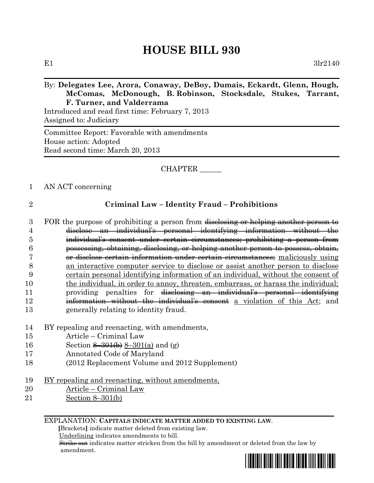# **HOUSE BILL 930**

## By: **Delegates Lee, Arora, Conaway, DeBoy, Dumais, Eckardt, Glenn, Hough, McComas, McDonough, B. Robinson, Stocksdale, Stukes, Tarrant, F. Turner, and Valderrama**

Introduced and read first time: February 7, 2013 Assigned to: Judiciary

Committee Report: Favorable with amendments House action: Adopted Read second time: March 20, 2013

## CHAPTER \_\_\_\_\_\_

### 1 AN ACT concerning

## 2 **Criminal Law – Identity Fraud – Prohibitions**

- 3 FOR the purpose of prohibiting a person from disclosing or helping another person to 4 disclose an individual's personal identifying information without the 5 individual's consent under certain circumstances; prohibiting a person from 6 possessing, obtaining, disclosing, or helping another person to possess, obtain, 7 or disclose certain information under certain circumstances; maliciously using 8 an interactive computer service to disclose or assist another person to disclose 9 certain personal identifying information of an individual, without the consent of 10 the individual, in order to annoy, threaten, embarrass, or harass the individual; 11 providing penalties for disclosing an individual's personal identifying 12 **information without the individual's consent** a violation of this Act; and 13 generally relating to identity fraud.
- 14 BY repealing and reenacting, with amendments,
- 15 Article Criminal Law
- 16 Section  $\frac{8-301}{b}$  8–301(a) and (g)
- 17 Annotated Code of Maryland
- 18 (2012 Replacement Volume and 2012 Supplement)
- 19 BY repealing and reenacting, without amendments,
- 20 Article Criminal Law
- 21 Section 8–301(b)

EXPLANATION: **CAPITALS INDICATE MATTER ADDED TO EXISTING LAW**.

 **[**Brackets**]** indicate matter deleted from existing law.

Underlining indicates amendments to bill.

 Strike out indicates matter stricken from the bill by amendment or deleted from the law by amendment.

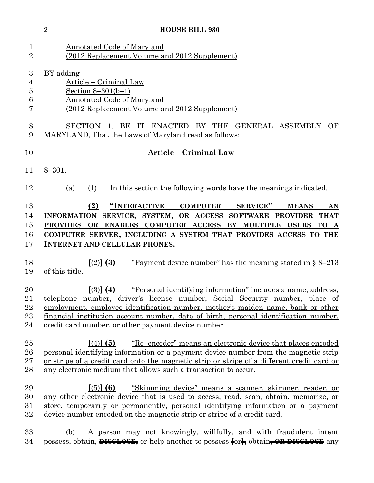|                                                                | $\overline{2}$<br><b>HOUSE BILL 930</b>                                                                                                                                                                                                                                                                                                                                                           |
|----------------------------------------------------------------|---------------------------------------------------------------------------------------------------------------------------------------------------------------------------------------------------------------------------------------------------------------------------------------------------------------------------------------------------------------------------------------------------|
| $\mathbf{1}$<br>$\overline{2}$                                 | <b>Annotated Code of Maryland</b><br>(2012 Replacement Volume and 2012 Supplement)                                                                                                                                                                                                                                                                                                                |
| $\boldsymbol{3}$<br>$\overline{4}$<br>$\overline{5}$<br>6<br>7 | BY adding<br>Article – Criminal Law<br>Section $8 - 301(b-1)$<br><b>Annotated Code of Maryland</b><br>(2012 Replacement Volume and 2012 Supplement)                                                                                                                                                                                                                                               |
| 8<br>$9\phantom{.0}$                                           | SECTION 1. BE IT ENACTED BY THE GENERAL ASSEMBLY OF<br>MARYLAND, That the Laws of Maryland read as follows:                                                                                                                                                                                                                                                                                       |
| 10                                                             | <b>Article - Criminal Law</b>                                                                                                                                                                                                                                                                                                                                                                     |
| 11                                                             | $8 - 301.$                                                                                                                                                                                                                                                                                                                                                                                        |
| 12                                                             | In this section the following words have the meanings indicated.<br>(1)<br>(a)                                                                                                                                                                                                                                                                                                                    |
| 13<br>14<br>15<br>16<br>17                                     | "INTERACTIVE<br><b>COMPUTER</b><br>SERVICE"<br>(2)<br><b>MEANS</b><br>AN<br>INFORMATION SERVICE, SYSTEM, OR ACCESS SOFTWARE PROVIDER<br>THAT<br>PROVIDES OR ENABLES COMPUTER ACCESS BY MULTIPLE USERS<br>TO A<br>COMPUTER SERVER, INCLUDING A SYSTEM THAT PROVIDES ACCESS TO THE<br><b>INTERNET AND CELLULAR PHONES.</b>                                                                          |
| 18<br>19                                                       | $(2)$ (3)<br>"Payment device number" has the meaning stated in $\S 8-213$<br>of this title.                                                                                                                                                                                                                                                                                                       |
| 20<br>21<br>22<br>23<br>24                                     | $(3)$ (4)<br>"Personal identifying information" includes a name, address,<br>telephone number, driver's license number, Social Security number, place of<br>employment, employee identification number, mother's maiden name, bank or other<br><u>financial institution account number, date of birth, personal identification number,</u><br>credit card number, or other payment device number. |
| 25<br>26<br>27<br>28                                           | "Re-encoder" means an electronic device that places encoded<br>$(4)$ (5)<br><u>personal identifying information or a payment device number from the magnetic strip</u><br>or stripe of a credit card onto the magnetic strip or stripe of a different credit card or<br>any electronic medium that allows such a transaction to occur.                                                            |
| 29<br>30<br>31<br>32                                           | $(5)$ (6)<br>"Skimming device" means a scanner, skimmer, reader, or<br>any other electronic device that is used to access, read, scan, obtain, memorize, or<br>store, temporarily or permanently, personal identifying information or a payment<br>device number encoded on the magnetic strip or stripe of a credit card.                                                                        |
| 33<br>34                                                       | A person may not knowingly, willfully, and with fraudulent intent<br>(b)<br>possess, obtain, <b>DISCLOSE</b> , or help another to possess $\{or\}$ obtain, OR DISCLOSE any                                                                                                                                                                                                                        |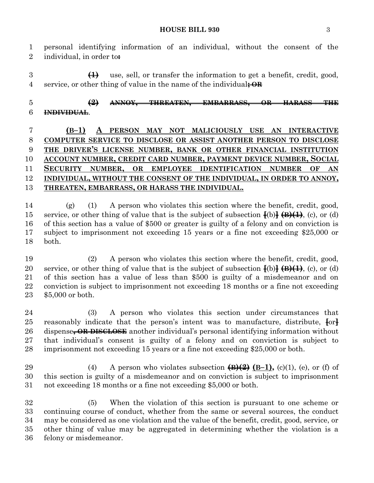#### **HOUSE BILL 930** 3

 personal identifying information of an individual, without the consent of the individual, in order to**:**

 **(1)** use, sell, or transfer the information to get a benefit, credit, good, service, or other thing of value in the name of the individual**; OR**

 **(2) ANNOY, THREATEN, EMBARRASS, OR HARASS THE INDIVIDUAL**.

 **(B–1) A PERSON MAY NOT MALICIOUSLY USE AN INTERACTIVE COMPUTER SERVICE TO DISCLOSE OR ASSIST ANOTHER PERSON TO DISCLOSE THE DRIVER'S LICENSE NUMBER, BANK OR OTHER FINANCIAL INSTITUTION ACCOUNT NUMBER, CREDIT CARD NUMBER, PAYMENT DEVICE NUMBER, SOCIAL SECURITY NUMBER, OR EMPLOYEE IDENTIFICATION NUMBER OF AN INDIVIDUAL, WITHOUT THE CONSENT OF THE INDIVIDUAL, IN ORDER TO ANNOY, THREATEN, EMBARRASS, OR HARASS THE INDIVIDUAL.**

 (g) (1) A person who violates this section where the benefit, credit, good, 15 service, or other thing of value that is the subject of subsection  $\frac{1}{b}$   $\rightarrow$   $\frac{1}{b}$ , (c), or (d) of this section has a value of \$500 or greater is guilty of a felony and on conviction is subject to imprisonment not exceeding 15 years or a fine not exceeding \$25,000 or both.

 (2) A person who violates this section where the benefit, credit, good, 20 service, or other thing of value that is the subject of subsection  $\{(b)\}\oplus\{(1\)}$ , (c), or (d) of this section has a value of less than \$500 is guilty of a misdemeanor and on conviction is subject to imprisonment not exceeding 18 months or a fine not exceeding \$5,000 or both.

 (3) A person who violates this section under circumstances that reasonably indicate that the person's intent was to manufacture, distribute, **[**or**]** dispense**, OR DISCLOSE** another individual's personal identifying information without that individual's consent is guilty of a felony and on conviction is subject to imprisonment not exceeding 15 years or a fine not exceeding \$25,000 or both.

 (4) A person who violates subsection **(B)(2) (B–1),** (c)(1), (e), or (f) of this section is guilty of a misdemeanor and on conviction is subject to imprisonment not exceeding 18 months or a fine not exceeding \$5,000 or both.

 (5) When the violation of this section is pursuant to one scheme or continuing course of conduct, whether from the same or several sources, the conduct may be considered as one violation and the value of the benefit, credit, good, service, or other thing of value may be aggregated in determining whether the violation is a felony or misdemeanor.